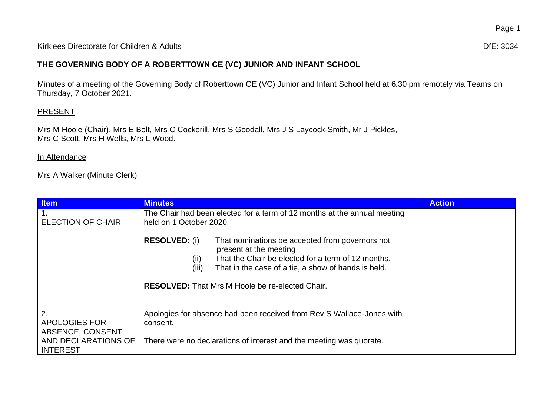## Kirklees Directorate for Children & Adults **Dife:** 3034

## **THE GOVERNING BODY OF A ROBERTTOWN CE (VC) JUNIOR AND INFANT SCHOOL**

Minutes of a meeting of the Governing Body of Roberttown CE (VC) Junior and Infant School held at 6.30 pm remotely via Teams on Thursday, 7 October 2021.

## **PRESENT**

Mrs M Hoole (Chair), Mrs E Bolt, Mrs C Cockerill, Mrs S Goodall, Mrs J S Laycock-Smith, Mr J Pickles, Mrs C Scott, Mrs H Wells, Mrs L Wood.

## In Attendance

Mrs A Walker (Minute Clerk)

| <b>Item</b>                                    | <b>Minutes</b>                                                                                                                                                                                                                                                                            | <b>Action</b> |
|------------------------------------------------|-------------------------------------------------------------------------------------------------------------------------------------------------------------------------------------------------------------------------------------------------------------------------------------------|---------------|
| <b>ELECTION OF CHAIR</b>                       | The Chair had been elected for a term of 12 months at the annual meeting<br>held on 1 October 2020.                                                                                                                                                                                       |               |
|                                                | <b>RESOLVED: (i)</b><br>That nominations be accepted from governors not<br>present at the meeting<br>That the Chair be elected for a term of 12 months.<br>(ii)<br>That in the case of a tie, a show of hands is held.<br>(iii)<br><b>RESOLVED:</b> That Mrs M Hoole be re-elected Chair. |               |
| 2.<br><b>APOLOGIES FOR</b><br>ABSENCE, CONSENT | Apologies for absence had been received from Rev S Wallace-Jones with<br>consent.                                                                                                                                                                                                         |               |
| AND DECLARATIONS OF<br><b>INTEREST</b>         | There were no declarations of interest and the meeting was quorate.                                                                                                                                                                                                                       |               |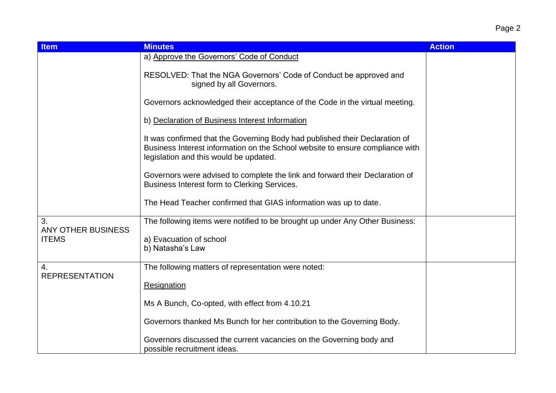| <b>Item</b>                     | <b>Minutes</b>                                                                                                                                                                                         | <b>Action</b> |
|---------------------------------|--------------------------------------------------------------------------------------------------------------------------------------------------------------------------------------------------------|---------------|
|                                 | a) Approve the Governors' Code of Conduct                                                                                                                                                              |               |
|                                 | RESOLVED: That the NGA Governors' Code of Conduct be approved and<br>signed by all Governors.                                                                                                          |               |
|                                 | Governors acknowledged their acceptance of the Code in the virtual meeting.                                                                                                                            |               |
|                                 | b) Declaration of Business Interest Information                                                                                                                                                        |               |
|                                 | It was confirmed that the Governing Body had published their Declaration of<br>Business Interest information on the School website to ensure compliance with<br>legislation and this would be updated. |               |
|                                 | Governors were advised to complete the link and forward their Declaration of<br>Business Interest form to Clerking Services.                                                                           |               |
|                                 | The Head Teacher confirmed that GIAS information was up to date.                                                                                                                                       |               |
| 3.<br><b>ANY OTHER BUSINESS</b> | The following items were notified to be brought up under Any Other Business:                                                                                                                           |               |
| <b>ITEMS</b>                    | a) Evacuation of school<br>b) Natasha's Law                                                                                                                                                            |               |
| 4.<br><b>REPRESENTATION</b>     | The following matters of representation were noted:                                                                                                                                                    |               |
|                                 | Resignation                                                                                                                                                                                            |               |
|                                 | Ms A Bunch, Co-opted, with effect from 4.10.21                                                                                                                                                         |               |
|                                 | Governors thanked Ms Bunch for her contribution to the Governing Body.                                                                                                                                 |               |
|                                 | Governors discussed the current vacancies on the Governing body and<br>possible recruitment ideas.                                                                                                     |               |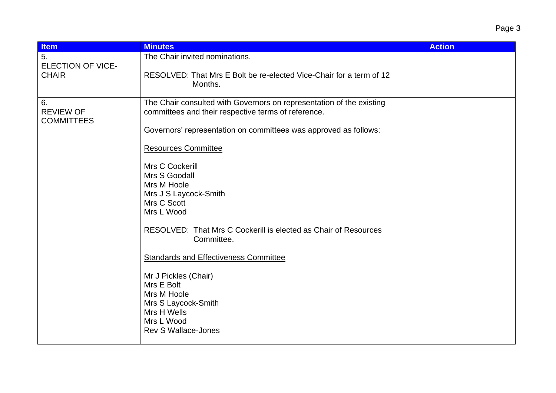| <b>Item</b>                                    | <b>Minutes</b>                                                                                                                                                                                                                                                                                                                                                                                                                                                                                                                                                                                                 | <b>Action</b> |
|------------------------------------------------|----------------------------------------------------------------------------------------------------------------------------------------------------------------------------------------------------------------------------------------------------------------------------------------------------------------------------------------------------------------------------------------------------------------------------------------------------------------------------------------------------------------------------------------------------------------------------------------------------------------|---------------|
| 5.<br><b>ELECTION OF VICE-</b><br><b>CHAIR</b> | The Chair invited nominations.<br>RESOLVED: That Mrs E Bolt be re-elected Vice-Chair for a term of 12<br>Months.                                                                                                                                                                                                                                                                                                                                                                                                                                                                                               |               |
| 6.<br><b>REVIEW OF</b><br><b>COMMITTEES</b>    | The Chair consulted with Governors on representation of the existing<br>committees and their respective terms of reference.<br>Governors' representation on committees was approved as follows:<br><b>Resources Committee</b><br>Mrs C Cockerill<br>Mrs S Goodall<br>Mrs M Hoole<br>Mrs J S Laycock-Smith<br>Mrs C Scott<br>Mrs L Wood<br>RESOLVED: That Mrs C Cockerill is elected as Chair of Resources<br>Committee.<br><b>Standards and Effectiveness Committee</b><br>Mr J Pickles (Chair)<br>Mrs E Bolt<br>Mrs M Hoole<br>Mrs S Laycock-Smith<br>Mrs H Wells<br>Mrs L Wood<br><b>Rev S Wallace-Jones</b> |               |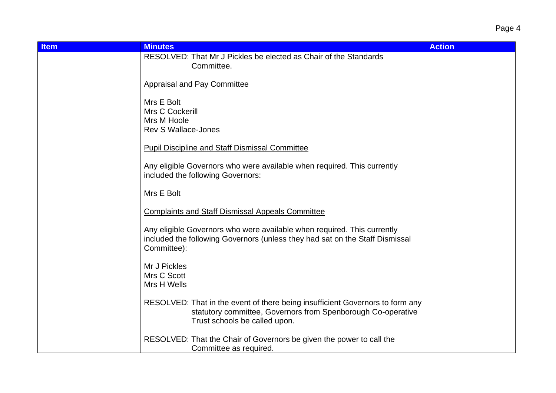| <b>Item</b> | <b>Minutes</b>                                                                                                                                                                 | <b>Action</b> |
|-------------|--------------------------------------------------------------------------------------------------------------------------------------------------------------------------------|---------------|
|             | RESOLVED: That Mr J Pickles be elected as Chair of the Standards<br>Committee.                                                                                                 |               |
|             | <b>Appraisal and Pay Committee</b>                                                                                                                                             |               |
|             | Mrs E Bolt<br>Mrs C Cockerill                                                                                                                                                  |               |
|             | Mrs M Hoole<br><b>Rev S Wallace-Jones</b>                                                                                                                                      |               |
|             | <b>Pupil Discipline and Staff Dismissal Committee</b>                                                                                                                          |               |
|             | Any eligible Governors who were available when required. This currently<br>included the following Governors:                                                                   |               |
|             | Mrs E Bolt                                                                                                                                                                     |               |
|             | <b>Complaints and Staff Dismissal Appeals Committee</b>                                                                                                                        |               |
|             | Any eligible Governors who were available when required. This currently<br>included the following Governors (unless they had sat on the Staff Dismissal<br>Committee):         |               |
|             | Mr J Pickles<br>Mrs C Scott                                                                                                                                                    |               |
|             | Mrs H Wells                                                                                                                                                                    |               |
|             | RESOLVED: That in the event of there being insufficient Governors to form any<br>statutory committee, Governors from Spenborough Co-operative<br>Trust schools be called upon. |               |
|             | RESOLVED: That the Chair of Governors be given the power to call the<br>Committee as required.                                                                                 |               |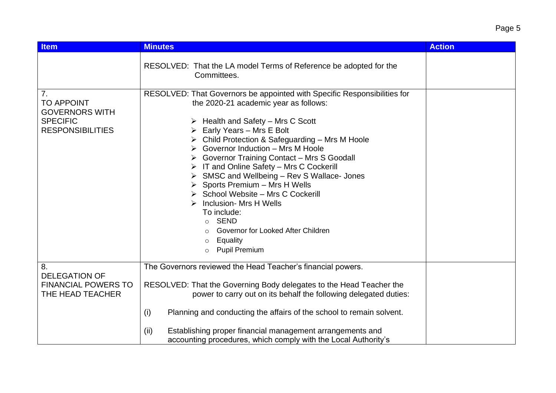| <b>Item</b>                                                                                    | <b>Minutes</b>                                                                                                                                                                                                                                                                                                                                                                                                                                                                                                                                                                                                                        | <b>Action</b> |
|------------------------------------------------------------------------------------------------|---------------------------------------------------------------------------------------------------------------------------------------------------------------------------------------------------------------------------------------------------------------------------------------------------------------------------------------------------------------------------------------------------------------------------------------------------------------------------------------------------------------------------------------------------------------------------------------------------------------------------------------|---------------|
|                                                                                                | RESOLVED: That the LA model Terms of Reference be adopted for the<br>Committees.                                                                                                                                                                                                                                                                                                                                                                                                                                                                                                                                                      |               |
| 7.<br><b>TO APPOINT</b><br><b>GOVERNORS WITH</b><br><b>SPECIFIC</b><br><b>RESPONSIBILITIES</b> | RESOLVED: That Governors be appointed with Specific Responsibilities for<br>the 2020-21 academic year as follows:<br>Health and Safety - Mrs C Scott<br>Early Years - Mrs E Bolt<br>Child Protection & Safeguarding - Mrs M Hoole<br>Governor Induction - Mrs M Hoole<br>Governor Training Contact - Mrs S Goodall<br>IT and Online Safety - Mrs C Cockerill<br>SMSC and Wellbeing - Rev S Wallace- Jones<br>Sports Premium - Mrs H Wells<br>School Website - Mrs C Cockerill<br>Inclusion- Mrs H Wells<br>To include:<br><b>SEND</b><br>$\circ$<br>Governor for Looked After Children<br>Equality<br><b>Pupil Premium</b><br>$\circ$ |               |
| 8.<br><b>DELEGATION OF</b><br><b>FINANCIAL POWERS TO</b><br>THE HEAD TEACHER                   | The Governors reviewed the Head Teacher's financial powers.<br>RESOLVED: That the Governing Body delegates to the Head Teacher the<br>power to carry out on its behalf the following delegated duties:<br>(i)<br>Planning and conducting the affairs of the school to remain solvent.<br>Establishing proper financial management arrangements and<br>(ii)<br>accounting procedures, which comply with the Local Authority's                                                                                                                                                                                                          |               |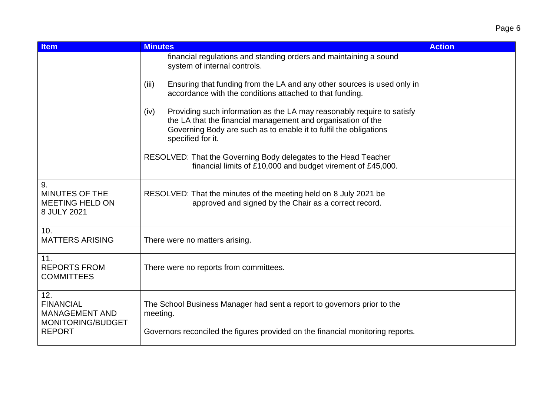| <b>Item</b>                                                           | <b>Minutes</b>                                                                                                                                                                                                                           | <b>Action</b> |
|-----------------------------------------------------------------------|------------------------------------------------------------------------------------------------------------------------------------------------------------------------------------------------------------------------------------------|---------------|
|                                                                       | financial regulations and standing orders and maintaining a sound<br>system of internal controls.                                                                                                                                        |               |
|                                                                       | Ensuring that funding from the LA and any other sources is used only in<br>(iii)<br>accordance with the conditions attached to that funding.                                                                                             |               |
|                                                                       | Providing such information as the LA may reasonably require to satisfy<br>(iv)<br>the LA that the financial management and organisation of the<br>Governing Body are such as to enable it to fulfil the obligations<br>specified for it. |               |
|                                                                       | RESOLVED: That the Governing Body delegates to the Head Teacher<br>financial limits of £10,000 and budget virement of £45,000.                                                                                                           |               |
| 9.<br><b>MINUTES OF THE</b><br><b>MEETING HELD ON</b><br>8 JULY 2021  | RESOLVED: That the minutes of the meeting held on 8 July 2021 be<br>approved and signed by the Chair as a correct record.                                                                                                                |               |
| 10.<br><b>MATTERS ARISING</b>                                         | There were no matters arising.                                                                                                                                                                                                           |               |
| 11.<br><b>REPORTS FROM</b><br><b>COMMITTEES</b>                       | There were no reports from committees.                                                                                                                                                                                                   |               |
| 12.<br><b>FINANCIAL</b><br><b>MANAGEMENT AND</b><br>MONITORING/BUDGET | The School Business Manager had sent a report to governors prior to the<br>meeting.                                                                                                                                                      |               |
| <b>REPORT</b>                                                         | Governors reconciled the figures provided on the financial monitoring reports.                                                                                                                                                           |               |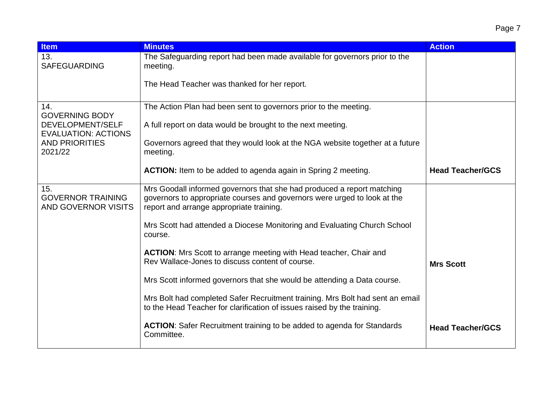| <b>Item</b>                                                   | <b>Minutes</b>                                                                                                                                                                                 | <b>Action</b>           |
|---------------------------------------------------------------|------------------------------------------------------------------------------------------------------------------------------------------------------------------------------------------------|-------------------------|
| 13.<br><b>SAFEGUARDING</b>                                    | The Safeguarding report had been made available for governors prior to the<br>meeting.                                                                                                         |                         |
|                                                               | The Head Teacher was thanked for her report.                                                                                                                                                   |                         |
| 14.<br><b>GOVERNING BODY</b>                                  | The Action Plan had been sent to governors prior to the meeting.                                                                                                                               |                         |
| DEVELOPMENT/SELF<br><b>EVALUATION: ACTIONS</b>                | A full report on data would be brought to the next meeting.                                                                                                                                    |                         |
| <b>AND PRIORITIES</b><br>2021/22                              | Governors agreed that they would look at the NGA website together at a future<br>meeting.                                                                                                      |                         |
|                                                               | <b>ACTION:</b> Item to be added to agenda again in Spring 2 meeting.                                                                                                                           | <b>Head Teacher/GCS</b> |
| 15.<br><b>GOVERNOR TRAINING</b><br><b>AND GOVERNOR VISITS</b> | Mrs Goodall informed governors that she had produced a report matching<br>governors to appropriate courses and governors were urged to look at the<br>report and arrange appropriate training. |                         |
|                                                               | Mrs Scott had attended a Diocese Monitoring and Evaluating Church School<br>course.                                                                                                            |                         |
|                                                               | ACTION: Mrs Scott to arrange meeting with Head teacher, Chair and<br>Rev Wallace-Jones to discuss content of course.                                                                           | <b>Mrs Scott</b>        |
|                                                               | Mrs Scott informed governors that she would be attending a Data course.                                                                                                                        |                         |
|                                                               | Mrs Bolt had completed Safer Recruitment training. Mrs Bolt had sent an email<br>to the Head Teacher for clarification of issues raised by the training.                                       |                         |
|                                                               | <b>ACTION:</b> Safer Recruitment training to be added to agenda for Standards<br>Committee.                                                                                                    | <b>Head Teacher/GCS</b> |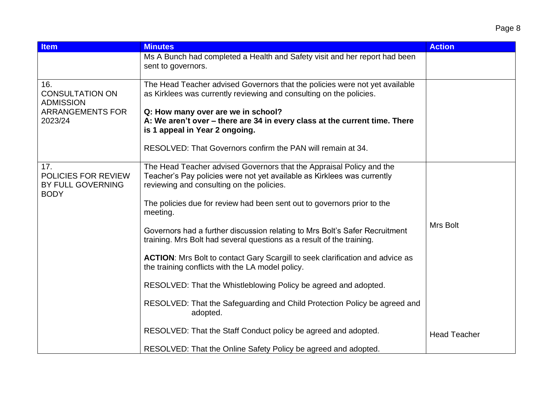| <b>Item</b>                                                    | <b>Minutes</b>                                                                                                                                                                               | <b>Action</b>       |
|----------------------------------------------------------------|----------------------------------------------------------------------------------------------------------------------------------------------------------------------------------------------|---------------------|
|                                                                | Ms A Bunch had completed a Health and Safety visit and her report had been<br>sent to governors.                                                                                             |                     |
| 16.<br><b>CONSULTATION ON</b><br><b>ADMISSION</b>              | The Head Teacher advised Governors that the policies were not yet available<br>as Kirklees was currently reviewing and consulting on the policies.                                           |                     |
| <b>ARRANGEMENTS FOR</b><br>2023/24                             | Q: How many over are we in school?<br>A: We aren't over - there are 34 in every class at the current time. There<br>is 1 appeal in Year 2 ongoing.                                           |                     |
|                                                                | RESOLVED: That Governors confirm the PAN will remain at 34.                                                                                                                                  |                     |
| 17.<br>POLICIES FOR REVIEW<br>BY FULL GOVERNING<br><b>BODY</b> | The Head Teacher advised Governors that the Appraisal Policy and the<br>Teacher's Pay policies were not yet available as Kirklees was currently<br>reviewing and consulting on the policies. |                     |
|                                                                | The policies due for review had been sent out to governors prior to the<br>meeting.                                                                                                          |                     |
|                                                                | Governors had a further discussion relating to Mrs Bolt's Safer Recruitment<br>training. Mrs Bolt had several questions as a result of the training.                                         | Mrs Bolt            |
|                                                                | <b>ACTION:</b> Mrs Bolt to contact Gary Scargill to seek clarification and advice as<br>the training conflicts with the LA model policy.                                                     |                     |
|                                                                | RESOLVED: That the Whistleblowing Policy be agreed and adopted.                                                                                                                              |                     |
|                                                                | RESOLVED: That the Safeguarding and Child Protection Policy be agreed and<br>adopted.                                                                                                        |                     |
|                                                                | RESOLVED: That the Staff Conduct policy be agreed and adopted.                                                                                                                               | <b>Head Teacher</b> |
|                                                                | RESOLVED: That the Online Safety Policy be agreed and adopted.                                                                                                                               |                     |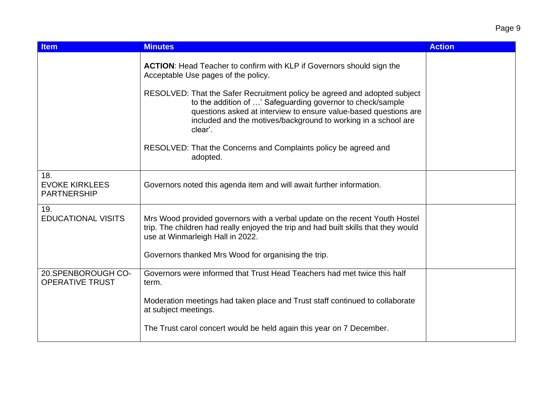| <b>Item</b>                                        | <b>Minutes</b>                                                                                                                                                                                                                                                                           | <b>Action</b> |
|----------------------------------------------------|------------------------------------------------------------------------------------------------------------------------------------------------------------------------------------------------------------------------------------------------------------------------------------------|---------------|
|                                                    | <b>ACTION:</b> Head Teacher to confirm with KLP if Governors should sign the<br>Acceptable Use pages of the policy.                                                                                                                                                                      |               |
|                                                    | RESOLVED: That the Safer Recruitment policy be agreed and adopted subject<br>to the addition of ' Safeguarding governor to check/sample<br>questions asked at interview to ensure value-based questions are<br>included and the motives/background to working in a school are<br>clear'. |               |
|                                                    | RESOLVED: That the Concerns and Complaints policy be agreed and<br>adopted.                                                                                                                                                                                                              |               |
| 18.<br><b>EVOKE KIRKLEES</b><br><b>PARTNERSHIP</b> | Governors noted this agenda item and will await further information.                                                                                                                                                                                                                     |               |
| 19.<br><b>EDUCATIONAL VISITS</b>                   | Mrs Wood provided governors with a verbal update on the recent Youth Hostel<br>trip. The children had really enjoyed the trip and had built skills that they would<br>use at Winmarleigh Hall in 2022.                                                                                   |               |
|                                                    | Governors thanked Mrs Wood for organising the trip.                                                                                                                                                                                                                                      |               |
| 20.SPENBOROUGH CO-<br><b>OPERATIVE TRUST</b>       | Governors were informed that Trust Head Teachers had met twice this half<br>term.                                                                                                                                                                                                        |               |
|                                                    | Moderation meetings had taken place and Trust staff continued to collaborate<br>at subject meetings.                                                                                                                                                                                     |               |
|                                                    | The Trust carol concert would be held again this year on 7 December.                                                                                                                                                                                                                     |               |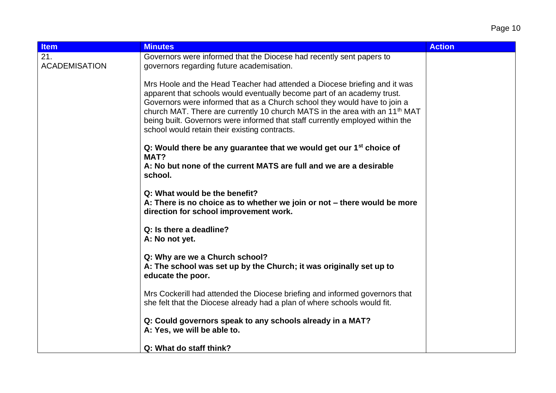| <b>Item</b>                 | <b>Minutes</b>                                                                                                                                                                                                                                                                                                                                                                                                                                                 | <b>Action</b> |
|-----------------------------|----------------------------------------------------------------------------------------------------------------------------------------------------------------------------------------------------------------------------------------------------------------------------------------------------------------------------------------------------------------------------------------------------------------------------------------------------------------|---------------|
| 21.<br><b>ACADEMISATION</b> | Governors were informed that the Diocese had recently sent papers to<br>governors regarding future academisation.                                                                                                                                                                                                                                                                                                                                              |               |
|                             | Mrs Hoole and the Head Teacher had attended a Diocese briefing and it was<br>apparent that schools would eventually become part of an academy trust.<br>Governors were informed that as a Church school they would have to join a<br>church MAT. There are currently 10 church MATS in the area with an 11 <sup>th</sup> MAT<br>being built. Governors were informed that staff currently employed within the<br>school would retain their existing contracts. |               |
|                             | Q: Would there be any guarantee that we would get our $1st$ choice of                                                                                                                                                                                                                                                                                                                                                                                          |               |
|                             | MAT?<br>A: No but none of the current MATS are full and we are a desirable<br>school.                                                                                                                                                                                                                                                                                                                                                                          |               |
|                             | Q: What would be the benefit?<br>A: There is no choice as to whether we join or not – there would be more<br>direction for school improvement work.                                                                                                                                                                                                                                                                                                            |               |
|                             | Q: Is there a deadline?<br>A: No not yet.                                                                                                                                                                                                                                                                                                                                                                                                                      |               |
|                             | Q: Why are we a Church school?<br>A: The school was set up by the Church; it was originally set up to<br>educate the poor.                                                                                                                                                                                                                                                                                                                                     |               |
|                             | Mrs Cockerill had attended the Diocese briefing and informed governors that<br>she felt that the Diocese already had a plan of where schools would fit.                                                                                                                                                                                                                                                                                                        |               |
|                             | Q: Could governors speak to any schools already in a MAT?<br>A: Yes, we will be able to.                                                                                                                                                                                                                                                                                                                                                                       |               |
|                             | Q: What do staff think?                                                                                                                                                                                                                                                                                                                                                                                                                                        |               |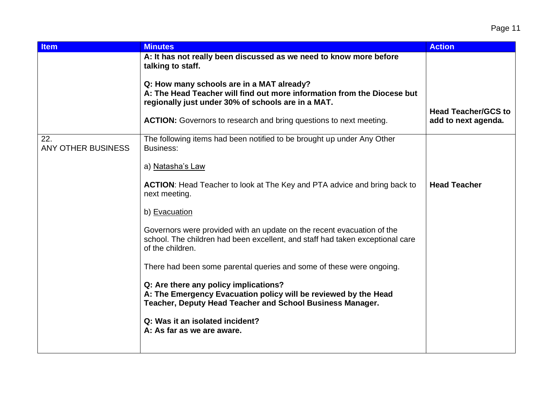| <b>Item</b>                      | <b>Minutes</b>                                                                                                                                                              | <b>Action</b>                                     |
|----------------------------------|-----------------------------------------------------------------------------------------------------------------------------------------------------------------------------|---------------------------------------------------|
|                                  | A: It has not really been discussed as we need to know more before<br>talking to staff.                                                                                     |                                                   |
|                                  | Q: How many schools are in a MAT already?<br>A: The Head Teacher will find out more information from the Diocese but<br>regionally just under 30% of schools are in a MAT.  |                                                   |
|                                  | <b>ACTION:</b> Governors to research and bring questions to next meeting.                                                                                                   | <b>Head Teacher/GCS to</b><br>add to next agenda. |
| 22.<br><b>ANY OTHER BUSINESS</b> | The following items had been notified to be brought up under Any Other<br>Business:                                                                                         |                                                   |
|                                  | a) Natasha's Law                                                                                                                                                            |                                                   |
|                                  | <b>ACTION:</b> Head Teacher to look at The Key and PTA advice and bring back to<br>next meeting.                                                                            | <b>Head Teacher</b>                               |
|                                  | b) Evacuation                                                                                                                                                               |                                                   |
|                                  | Governors were provided with an update on the recent evacuation of the<br>school. The children had been excellent, and staff had taken exceptional care<br>of the children. |                                                   |
|                                  | There had been some parental queries and some of these were ongoing.                                                                                                        |                                                   |
|                                  | Q: Are there any policy implications?<br>A: The Emergency Evacuation policy will be reviewed by the Head<br>Teacher, Deputy Head Teacher and School Business Manager.       |                                                   |
|                                  | Q: Was it an isolated incident?<br>A: As far as we are aware.                                                                                                               |                                                   |